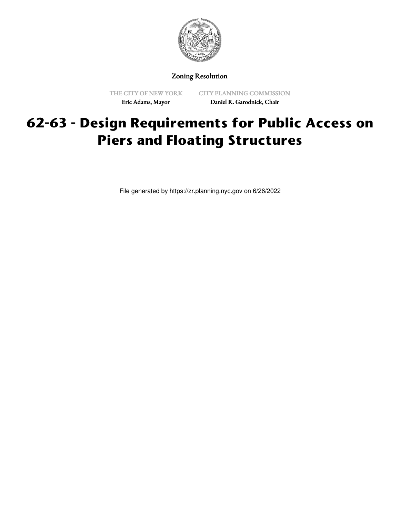

Zoning Resolution

THE CITY OF NEW YORK Eric Adams, Mayor

CITY PLANNING COMMISSION Daniel R. Garodnick, Chair

# **62-63 - Design Requirements for Public Access on Piers and Floating Structures**

File generated by https://zr.planning.nyc.gov on 6/26/2022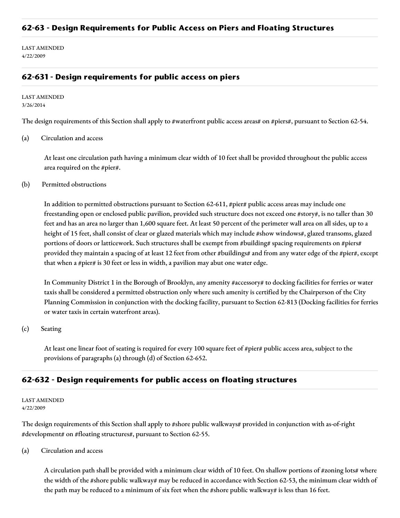## **62-63 - Design Requirements for Public Access on Piers and Floating Structures**

LAST AMENDED 4/22/2009

## **62-631 - Design requirements for public access on piers**

#### LAST AMENDED 3/26/2014

The design requirements of this Section shall apply to #waterfront public access areas# on #piers#, pursuant to Section 62-54.

(a) Circulation and access

At least one circulation path having a minimum clear width of 10 feet shall be provided throughout the public access area required on the #pier#.

(b) Permitted obstructions

In addition to permitted obstructions pursuant to Section 62-611, #pier# public access areas may include one freestanding open or enclosed public pavilion, provided such structure does not exceed one #story#, is no taller than 30 feet and has an area no larger than 1,600 square feet. At least 50 percent of the perimeter wall area on all sides, up to a height of 15 feet, shall consist of clear or glazed materials which may include #show windows#, glazed transoms, glazed portions of doors or latticework. Such structures shall be exempt from #building# spacing requirements on #piers# provided they maintain a spacing of at least 12 feet from other #buildings# and from any water edge of the #pier#, except that when a #pier# is 30 feet or less in width, a pavilion may abut one water edge.

In Community District 1 in the Borough of Brooklyn, any amenity #accessory# to docking facilities for ferries or water taxis shall be considered a permitted obstruction only where such amenity is certified by the Chairperson of the City Planning Commission in conjunction with the docking facility, pursuant to Section 62-813 (Docking facilities for ferries or water taxis in certain waterfront areas).

#### (c) Seating

At least one linear foot of seating is required for every 100 square feet of #pier# public access area, subject to the provisions of paragraphs (a) through (d) of Section 62-652.

### **62-632 - Design requirements for public access on floating structures**

#### LAST AMENDED 4/22/2009

The design requirements of this Section shall apply to #shore public walkways# provided in conjunction with as-of-right #development# on #floating structures#, pursuant to Section 62-55.

(a) Circulation and access

A circulation path shall be provided with a minimum clear width of 10 feet. On shallow portions of #zoning lots# where the width of the #shore public walkway# may be reduced in accordance with Section 62-53, the minimum clear width of the path may be reduced to a minimum of six feet when the #shore public walkway# is less than 16 feet.